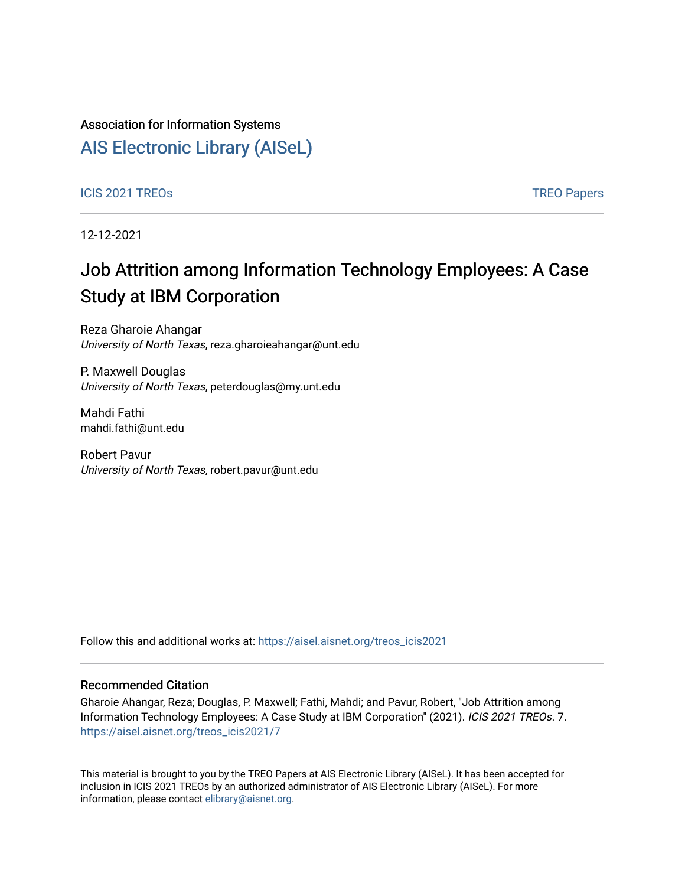#### Association for Information Systems

## [AIS Electronic Library \(AISeL\)](https://aisel.aisnet.org/)

[ICIS 2021 TREOs](https://aisel.aisnet.org/treos_icis2021) [TREO Papers](https://aisel.aisnet.org/treos) And TREO Papers And TREO Papers And TREO Papers And TREO Papers

12-12-2021

# Job Attrition among Information Technology Employees: A Case Study at IBM Corporation

Reza Gharoie Ahangar University of North Texas, reza.gharoieahangar@unt.edu

P. Maxwell Douglas University of North Texas, peterdouglas@my.unt.edu

Mahdi Fathi mahdi.fathi@unt.edu

Robert Pavur University of North Texas, robert.pavur@unt.edu

Follow this and additional works at: [https://aisel.aisnet.org/treos\\_icis2021](https://aisel.aisnet.org/treos_icis2021?utm_source=aisel.aisnet.org%2Ftreos_icis2021%2F7&utm_medium=PDF&utm_campaign=PDFCoverPages) 

#### Recommended Citation

Gharoie Ahangar, Reza; Douglas, P. Maxwell; Fathi, Mahdi; and Pavur, Robert, "Job Attrition among Information Technology Employees: A Case Study at IBM Corporation" (2021). ICIS 2021 TREOs. 7. [https://aisel.aisnet.org/treos\\_icis2021/7](https://aisel.aisnet.org/treos_icis2021/7?utm_source=aisel.aisnet.org%2Ftreos_icis2021%2F7&utm_medium=PDF&utm_campaign=PDFCoverPages) 

This material is brought to you by the TREO Papers at AIS Electronic Library (AISeL). It has been accepted for inclusion in ICIS 2021 TREOs by an authorized administrator of AIS Electronic Library (AISeL). For more information, please contact [elibrary@aisnet.org.](mailto:elibrary@aisnet.org%3E)